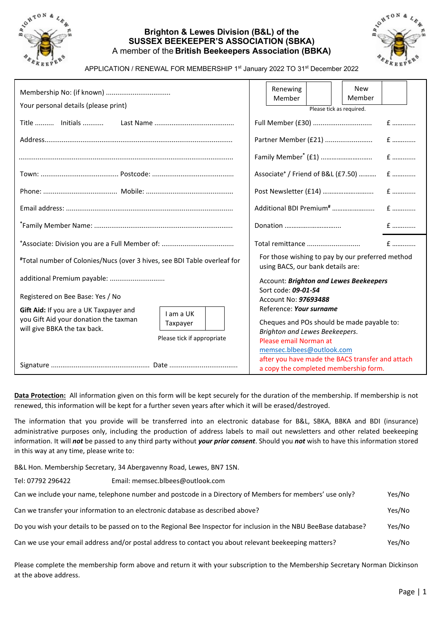

## **Brighton & Lewes Division (B&L) of the SUSSEX BEEKEEPER'S ASSOCIATION (SBKA)**  A member of the **British Beekeepers Association (BBKA)**



APPLICATION / RENEWAL FOR MEMBERSHIP 1st January 2022 TO 31st December 2022

| Your personal details (please print)                                                                                                                                   |  |                                                                                                                                                                | Renewing<br>Member                                |  |     | <b>New</b><br>Member<br>Please tick as required.                                          |  |  |
|------------------------------------------------------------------------------------------------------------------------------------------------------------------------|--|----------------------------------------------------------------------------------------------------------------------------------------------------------------|---------------------------------------------------|--|-----|-------------------------------------------------------------------------------------------|--|--|
|                                                                                                                                                                        |  |                                                                                                                                                                |                                                   |  |     |                                                                                           |  |  |
|                                                                                                                                                                        |  |                                                                                                                                                                |                                                   |  |     |                                                                                           |  |  |
|                                                                                                                                                                        |  |                                                                                                                                                                |                                                   |  |     |                                                                                           |  |  |
|                                                                                                                                                                        |  |                                                                                                                                                                | Associate <sup>+</sup> / Friend of B&L (£7.50)  £ |  |     |                                                                                           |  |  |
|                                                                                                                                                                        |  |                                                                                                                                                                |                                                   |  |     |                                                                                           |  |  |
|                                                                                                                                                                        |  |                                                                                                                                                                |                                                   |  |     |                                                                                           |  |  |
|                                                                                                                                                                        |  | Donation                                                                                                                                                       |                                                   |  | $f$ |                                                                                           |  |  |
|                                                                                                                                                                        |  |                                                                                                                                                                |                                                   |  |     |                                                                                           |  |  |
| #Total number of Colonies/Nucs (over 3 hives, see BDI Table overleaf for                                                                                               |  | For those wishing to pay by our preferred method<br>using BACS, our bank details are:                                                                          |                                                   |  |     |                                                                                           |  |  |
| additional Premium payable:                                                                                                                                            |  |                                                                                                                                                                |                                                   |  |     | Account: Brighton and Lewes Beekeepers                                                    |  |  |
| Registered on Bee Base: Yes / No                                                                                                                                       |  | Sort code: 09-01-54<br>Account No: 97693488                                                                                                                    |                                                   |  |     |                                                                                           |  |  |
| Gift Aid: If you are a UK Taxpayer and<br>I am a UK<br>you Gift Aid your donation the taxman<br>Taxpayer<br>will give BBKA the tax back.<br>Please tick if appropriate |  | Reference: Your surname<br>Cheques and POs should be made payable to:<br>Brighton and Lewes Beekeepers.<br>Please email Norman at<br>memsec.blbees@outlook.com |                                                   |  |     |                                                                                           |  |  |
|                                                                                                                                                                        |  |                                                                                                                                                                |                                                   |  |     | after you have made the BACS transfer and attach<br>a copy the completed membership form. |  |  |

**Data Protection:** All information given on this form will be kept securely for the duration of the membership. If membership is not renewed, this information will be kept for a further seven years after which it will be erased/destroyed.

The information that you provide will be transferred into an electronic database for B&L, SBKA, BBKA and BDI (insurance) administrative purposes only, including the production of address labels to mail out newsletters and other related beekeeping information. It will *not* be passed to any third party without *your prior consent*. Should you *not* wish to have this information stored in this way at any time, please write to:

B&L Hon. Membership Secretary, 34 Abergavenny Road, Lewes, BN7 1SN.

| Tel: 07792 296422                                                                                                 | Email: memsec.blbees@outlook.com                                                                         |        |
|-------------------------------------------------------------------------------------------------------------------|----------------------------------------------------------------------------------------------------------|--------|
|                                                                                                                   | Can we include your name, telephone number and postcode in a Directory of Members for members' use only? | Yes/No |
| Can we transfer your information to an electronic database as described above?                                    |                                                                                                          | Yes/No |
| Do you wish your details to be passed on to the Regional Bee Inspector for inclusion in the NBU BeeBase database? |                                                                                                          | Yes/No |
|                                                                                                                   | Can we use your email address and/or postal address to contact you about relevant beekeeping matters?    | Yes/No |

Please complete the membership form above and return it with your subscription to the Membership Secretary Norman Dickinson at the above address.